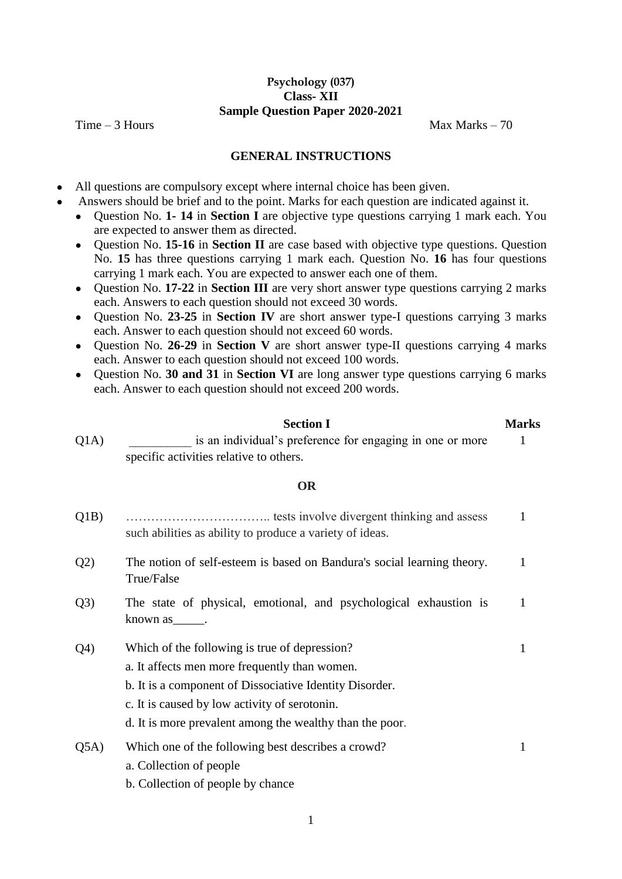# **Psychology (037) Class- XII Sample Question Paper 2020-2021**

 $Time - 3$  Hours Max Marks – 70

1

# **GENERAL INSTRUCTIONS**

- All questions are compulsory except where internal choice has been given.
	- Answers should be brief and to the point. Marks for each question are indicated against it.
		- Question No. **1- 14** in **Section I** are objective type questions carrying 1 mark each. You are expected to answer them as directed.
		- Question No. **15-16** in **Section II** are case based with objective type questions. Question No. **15** has three questions carrying 1 mark each. Question No. **16** has four questions carrying 1 mark each. You are expected to answer each one of them.
		- Question No. **17-22** in **Section III** are very short answer type questions carrying 2 marks each. Answers to each question should not exceed 30 words.
		- Question No. **23-25** in **Section IV** are short answer type-I questions carrying 3 marks each. Answer to each question should not exceed 60 words.
		- Question No. **26-29** in **Section V** are short answer type-II questions carrying 4 marks each. Answer to each question should not exceed 100 words.
		- Question No. **30 and 31** in **Section VI** are long answer type questions carrying 6 marks each. Answer to each question should not exceed 200 words.

|       | <b>Section I</b>                                          | <b>Marks</b> |
|-------|-----------------------------------------------------------|--------------|
| O(1A) | is an individual's preference for engaging in one or more |              |
|       | specific activities relative to others.                   |              |

# **OR**

- Q1B) …………………………….. tests involve divergent thinking and assess such abilities as ability to produce a variety of ideas. 1 Q2) The notion of self-esteem is based on Bandura's social learning theory. True/False 1 Q3) The state of physical, emotional, and psychological exhaustion is 1
- known as\_\_\_\_\_.
- Q4) Which of the following is true of depression?
	- a. It affects men more frequently than women.
	- b. It is a component of Dissociative Identity Disorder.
	- c. It is caused by low activity of serotonin.
	- d. It is more prevalent among the wealthy than the poor.
- Q5A) Which one of the following best describes a crowd? a. Collection of people 1
	- b. Collection of people by chance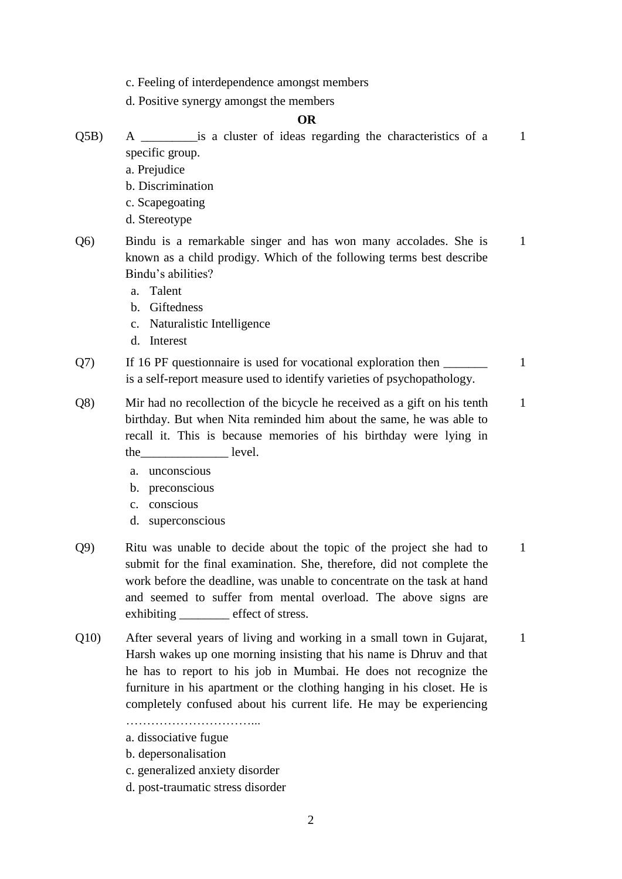- c. Feeling of interdependence amongst members
- d. Positive synergy amongst the members

### **OR**

- Q5B) A is a cluster of ideas regarding the characteristics of a specific group. 1
	- a. Prejudice
	- b. Discrimination
	- c. Scapegoating
	- d. Stereotype
- Q6) Bindu is a remarkable singer and has won many accolades. She is known as a child prodigy. Which of the following terms best describe Bindu's abilities? 1
	- a. Talent
	- b. Giftedness
	- c. Naturalistic Intelligence
	- d. Interest
- Q7) If 16 PF questionnaire is used for vocational exploration then is a self-report measure used to identify varieties of psychopathology. 1
- Q8) Mir had no recollection of the bicycle he received as a gift on his tenth birthday. But when Nita reminded him about the same, he was able to recall it. This is because memories of his birthday were lying in the level. 1
	- a. unconscious
	- b. preconscious
	- c. conscious
	- d. superconscious
- Q9) Ritu was unable to decide about the topic of the project she had to submit for the final examination. She, therefore, did not complete the work before the deadline, was unable to concentrate on the task at hand and seemed to suffer from mental overload. The above signs are exhibiting effect of stress. 1
- Q10) After several years of living and working in a small town in Gujarat, Harsh wakes up one morning insisting that his name is Dhruv and that he has to report to his job in Mumbai. He does not recognize the furniture in his apartment or the clothing hanging in his closet. He is completely confused about his current life. He may be experiencing 1

…………………………...

- a. dissociative fugue
- b. depersonalisation
- c. generalized anxiety disorder
- d. post-traumatic stress disorder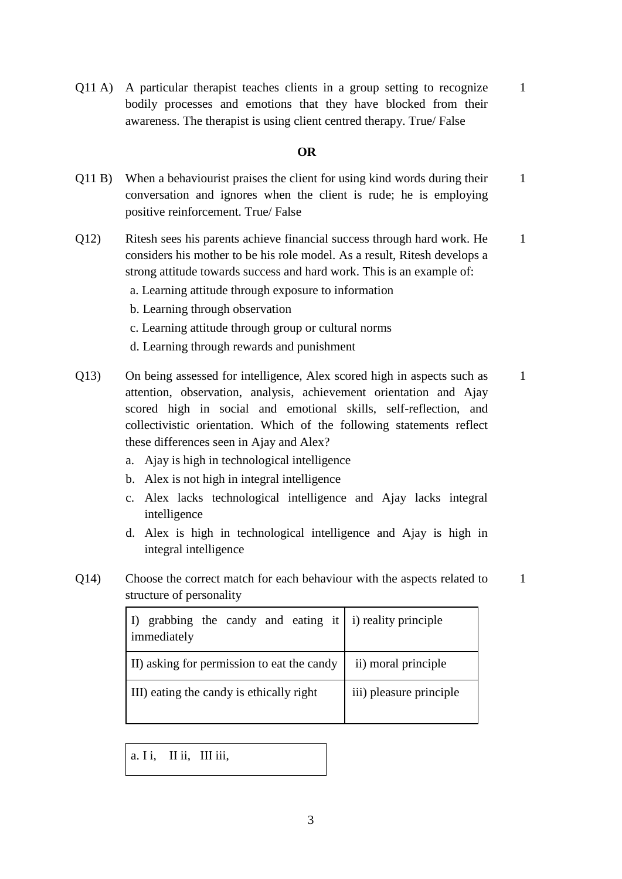Q11 A) A particular therapist teaches clients in a group setting to recognize bodily processes and emotions that they have blocked from their awareness. The therapist is using client centred therapy. True/ False 1

### **OR**

- Q11 B) When a behaviourist praises the client for using kind words during their conversation and ignores when the client is rude; he is employing positive reinforcement. True/ False 1
- Q12) Ritesh sees his parents achieve financial success through hard work. He considers his mother to be his role model. As a result, Ritesh develops a strong attitude towards success and hard work. This is an example of: 1
	- a. Learning attitude through exposure to information
	- b. Learning through observation
	- c. Learning attitude through group or cultural norms
	- d. Learning through rewards and punishment
- Q13) On being assessed for intelligence, Alex scored high in aspects such as attention, observation, analysis, achievement orientation and Ajay scored high in social and emotional skills, self-reflection, and collectivistic orientation. Which of the following statements reflect these differences seen in Ajay and Alex? 1
	- a. Ajay is high in technological intelligence
	- b. Alex is not high in integral intelligence
	- c. Alex lacks technological intelligence and Ajay lacks integral intelligence
	- d. Alex is high in technological intelligence and Ajay is high in integral intelligence

1

Q14) Choose the correct match for each behaviour with the aspects related to structure of personality

| I) grabbing the candy and eating it $\mid$ i) reality principle<br>immediately |                         |
|--------------------------------------------------------------------------------|-------------------------|
| II) asking for permission to eat the candy                                     | ii) moral principle     |
| III) eating the candy is ethically right                                       | iii) pleasure principle |

a. I i, II ii, III iii,

3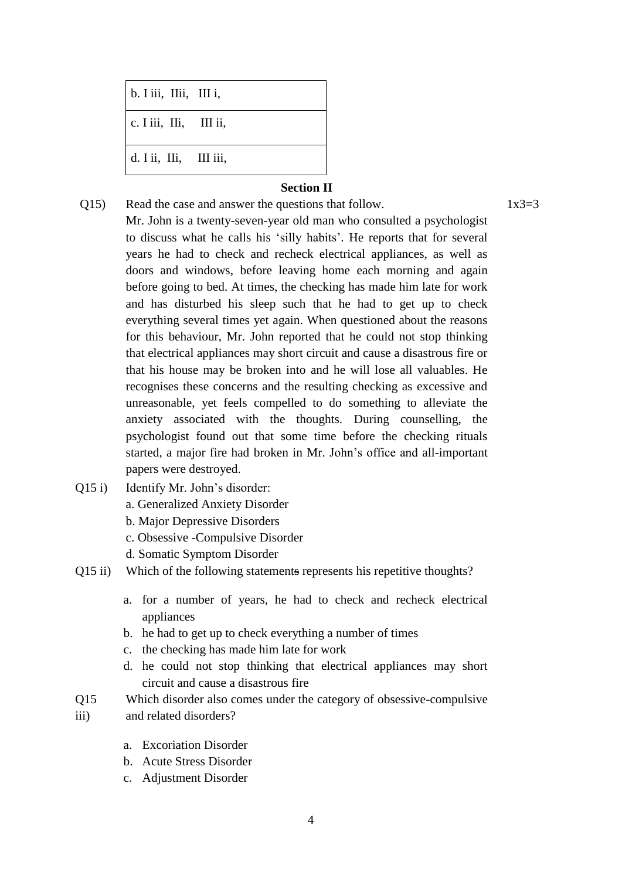| b. I iii, IIii, III i, |  |
|------------------------|--|
| c. I iii, IIi, III ii, |  |
| d. I ii, IIi, III iii, |  |

# **Section II**

- Q15) Read the case and answer the questions that follow.  $1x3=3$ Mr. John is a twenty-seven-year old man who consulted a psychologist to discuss what he calls his 'silly habits'. He reports that for several years he had to check and recheck electrical appliances, as well as doors and windows, before leaving home each morning and again before going to bed. At times, the checking has made him late for work and has disturbed his sleep such that he had to get up to check everything several times yet again. When questioned about the reasons for this behaviour, Mr. John reported that he could not stop thinking that electrical appliances may short circuit and cause a disastrous fire or that his house may be broken into and he will lose all valuables. He recognises these concerns and the resulting checking as excessive and unreasonable, yet feels compelled to do something to alleviate the anxiety associated with the thoughts. During counselling, the psychologist found out that some time before the checking rituals started, a major fire had broken in Mr. John's office and all-important papers were destroyed.
- Q15 i) Identify Mr. John's disorder:
	- a. Generalized Anxiety Disorder
	- b. Major Depressive Disorders
	- c. Obsessive -Compulsive Disorder
	- d. Somatic Symptom Disorder
- Q15 ii) Which of the following statements represents his repetitive thoughts?
	- a. for a number of years, he had to check and recheck electrical appliances
	- b. he had to get up to check everything a number of times
	- c. the checking has made him late for work
	- d. he could not stop thinking that electrical appliances may short circuit and cause a disastrous fire
- Q15 Which disorder also comes under the category of obsessive-compulsive
- iii) and related disorders?
	- a. Excoriation Disorder
	- b. Acute Stress Disorder
	- c. Adjustment Disorder

4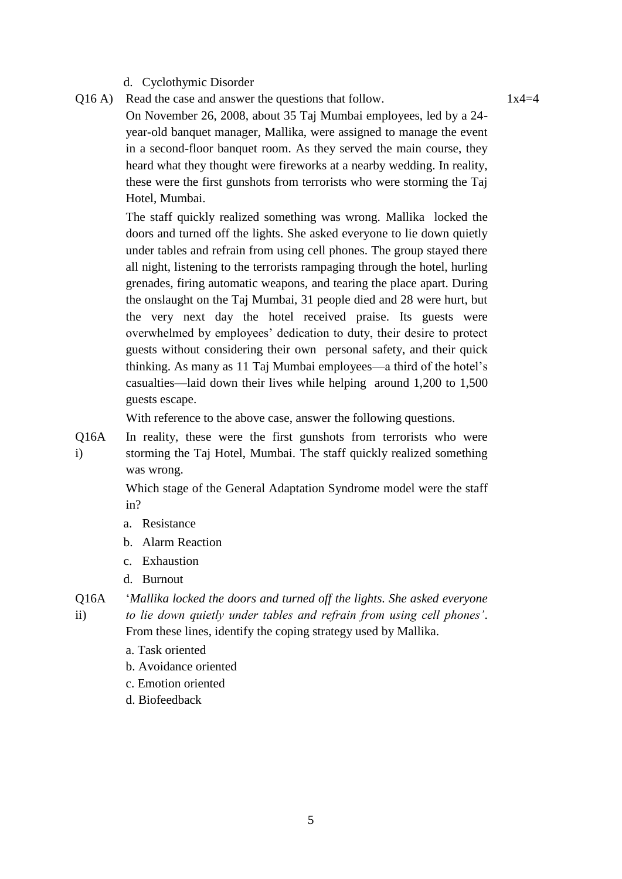### d. Cyclothymic Disorder

 $Q16 A$ ) Read the case and answer the questions that follow. 1x4=4 On November 26, 2008, about 35 Taj Mumbai employees, led by a 24 year-old banquet manager, Mallika, were assigned to manage the event in a second-floor banquet room. As they served the main course, they heard what they thought were fireworks at a nearby wedding. In reality, these were the first gunshots from terrorists who were storming the Taj Hotel, Mumbai.

> The staff quickly realized something was wrong. Mallika locked the doors and turned off the lights. She asked everyone to lie down quietly under tables and refrain from using cell phones. The group stayed there all night, listening to the terrorists rampaging through the hotel, hurling grenades, firing automatic weapons, and tearing the place apart. During the onslaught on the Taj Mumbai, 31 people died and 28 were hurt, but the very next day the hotel received praise. Its guests were overwhelmed by employees' dedication to duty, their desire to protect guests without considering their own personal safety, and their quick thinking. As many as 11 Taj Mumbai employees—a third of the hotel's casualties—laid down their lives while helping around 1,200 to 1,500 guests escape.

With reference to the above case, answer the following questions.

Q16A i) In reality, these were the first gunshots from terrorists who were storming the Taj Hotel, Mumbai. The staff quickly realized something was wrong.

> Which stage of the General Adaptation Syndrome model were the staff in?

- a. Resistance
- b. Alarm Reaction
- c. Exhaustion
- d. Burnout

Q16A ii) '*Mallika locked the doors and turned off the lights. She asked everyone to lie down quietly under tables and refrain from using cell phones'*.

From these lines, identify the coping strategy used by Mallika.

- a. Task oriented
- b. Avoidance oriented
- c. Emotion oriented
- d. Biofeedback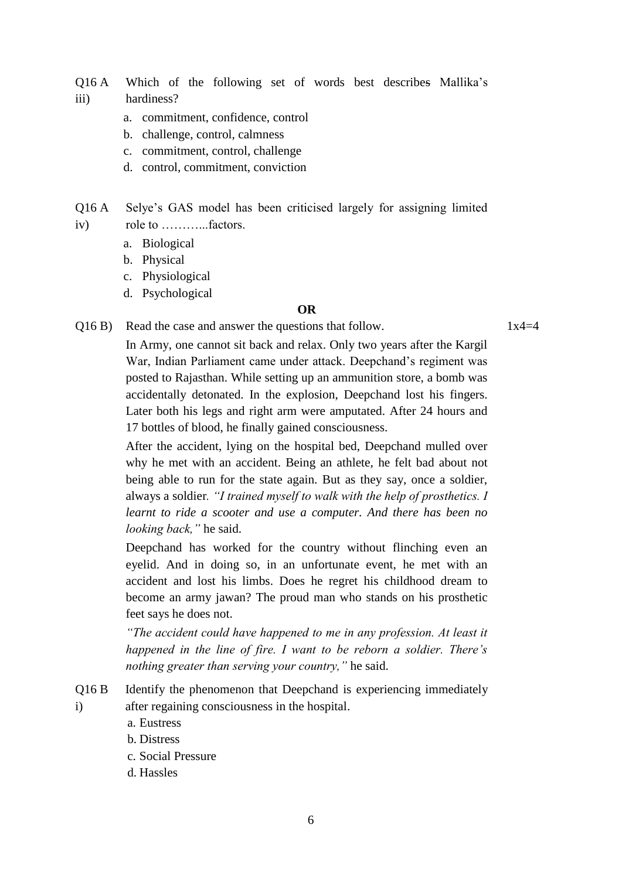Q16 A iii) Which of the following set of words best describes Mallika's hardiness?

- a. commitment, confidence, control
- b. challenge, control, calmness
- c. commitment, control, challenge
- d. control, commitment, conviction

Q16 A iv) Selye's GAS model has been criticised largely for assigning limited role to ………...factors.

- a. Biological
- b. Physical
- c. Physiological
- d. Psychological

#### **OR**

 $Q16 B$ ) Read the case and answer the questions that follow. 1x4=4

In Army, one cannot sit back and relax. Only two years after the Kargil War, Indian Parliament came under attack. Deepchand's regiment was posted to Rajasthan. While setting up an ammunition store, a bomb was accidentally detonated. In the explosion, Deepchand lost his fingers. Later both his legs and right arm were amputated. After 24 hours and 17 bottles of blood, he finally gained consciousness.

After the accident, lying on the hospital bed, Deepchand mulled over why he met with an accident. Being an athlete, he felt bad about not being able to run for the state again. But as they say, once a soldier, always a soldier*. "I trained myself to walk with the help of prosthetics. I learnt to ride a scooter and use a computer. And there has been no looking back,"* he said.

Deepchand has worked for the country without flinching even an eyelid. And in doing so, in an unfortunate event, he met with an accident and lost his limbs. Does he regret his childhood dream to become an army jawan? The proud man who stands on his prosthetic feet says he does not.

*"The accident could have happened to me in any profession. At least it happened in the line of fire. I want to be reborn a soldier. There's nothing greater than serving your country,"* he said.

- Q16 B i) Identify the phenomenon that Deepchand is experiencing immediately after regaining consciousness in the hospital.
	- a. Eustress
	- b. Distress
	- c. Social Pressure
	- d. Hassles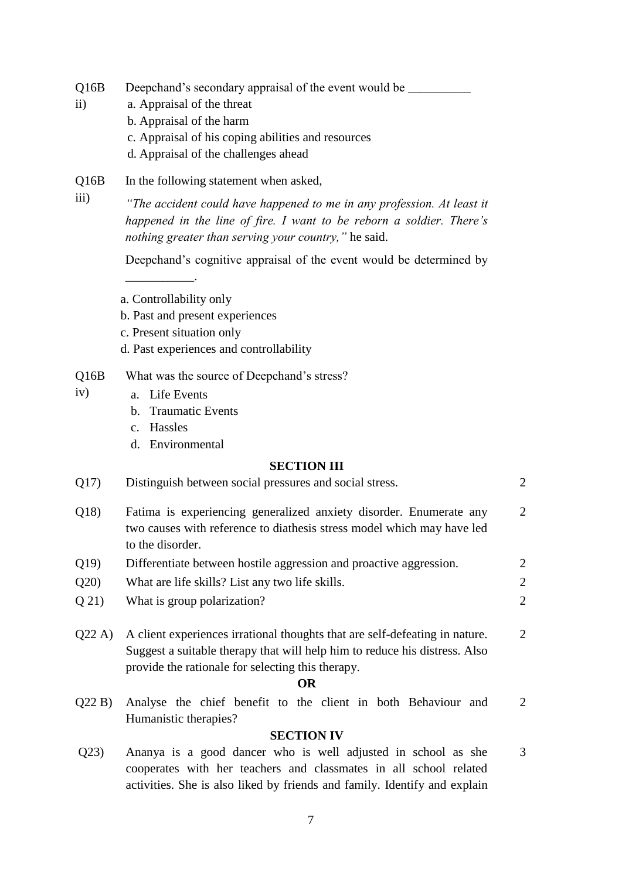- $O16B$ Deepchand's secondary appraisal of the event would be \_\_\_\_\_\_\_\_\_\_\_\_\_\_\_\_\_\_\_\_\_\_\_\_\_\_\_
	- a. Appraisal of the threat

ii)

- b. Appraisal of the harm
- c. Appraisal of his coping abilities and resources
- d. Appraisal of the challenges ahead
- $O16B$ In the following statement when asked,
- iii) *"The accident could have happened to me in any profession. At least it happened in the line of fire. I want to be reborn a soldier. There's nothing greater than serving your country,"* he said.

Deepchand's cognitive appraisal of the event would be determined by

a. Controllability only

\_\_\_\_\_\_\_\_\_\_\_.

- b. Past and present experiences
- c. Present situation only
- d. Past experiences and controllability
- Q16B What was the source of Deepchand's stress?
- iv) a. Life Events
	- b. Traumatic Events
	- c. Hassles
	- d. Environmental

### **SECTION III**

| Q17)    | Distinguish between social pressures and social stress.                                                                                                                                                        | $\overline{2}$ |
|---------|----------------------------------------------------------------------------------------------------------------------------------------------------------------------------------------------------------------|----------------|
| Q18     | Fatima is experiencing generalized anxiety disorder. Enumerate any<br>two causes with reference to diathesis stress model which may have led<br>to the disorder.                                               | $\overline{2}$ |
| Q19     | Differentiate between hostile aggression and proactive aggression.                                                                                                                                             | $\overline{c}$ |
| Q20     | What are life skills? List any two life skills.                                                                                                                                                                | $\overline{c}$ |
| $Q$ 21) | What is group polarization?                                                                                                                                                                                    | $\overline{2}$ |
| Q22A    | A client experiences irrational thoughts that are self-defeating in nature.<br>Suggest a suitable therapy that will help him to reduce his distress. Also<br>provide the rationale for selecting this therapy. | $\overline{2}$ |
|         | <b>OR</b>                                                                                                                                                                                                      |                |
| Q22B    | Analyse the chief benefit to the client in both Behaviour and<br>Humanistic therapies?                                                                                                                         | $\overline{2}$ |
|         | <b>SECTION IV</b>                                                                                                                                                                                              |                |
| Q23)    | Ananya is a good dancer who is well adjusted in school as she                                                                                                                                                  | 3              |

cooperates with her teachers and classmates in all school related activities. She is also liked by friends and family. Identify and explain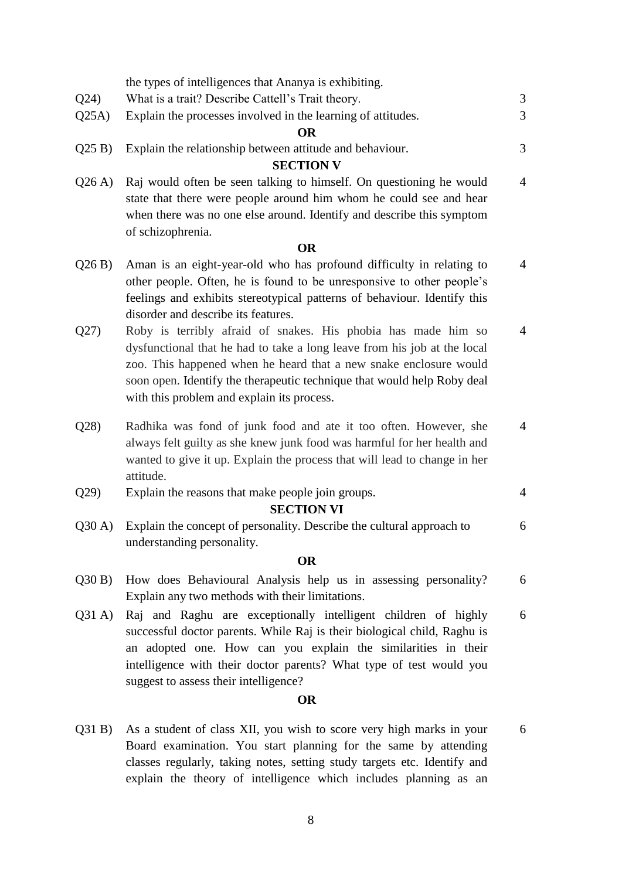|                 | the types of intelligences that Ananya is exhibiting.                                                                                                                                                                                                                                                                                   |                |
|-----------------|-----------------------------------------------------------------------------------------------------------------------------------------------------------------------------------------------------------------------------------------------------------------------------------------------------------------------------------------|----------------|
| Q24)            | What is a trait? Describe Cattell's Trait theory.                                                                                                                                                                                                                                                                                       | 3              |
| Q25A)           | Explain the processes involved in the learning of attitudes.                                                                                                                                                                                                                                                                            | 3              |
|                 | <b>OR</b>                                                                                                                                                                                                                                                                                                                               |                |
| Q25B)           | Explain the relationship between attitude and behaviour.                                                                                                                                                                                                                                                                                | 3              |
|                 | <b>SECTION V</b>                                                                                                                                                                                                                                                                                                                        |                |
| Q26A)           | Raj would often be seen talking to himself. On questioning he would<br>state that there were people around him whom he could see and hear<br>when there was no one else around. Identify and describe this symptom<br>of schizophrenia.                                                                                                 | $\overline{4}$ |
|                 | <b>OR</b>                                                                                                                                                                                                                                                                                                                               |                |
| Q26B)           | Aman is an eight-year-old who has profound difficulty in relating to<br>other people. Often, he is found to be unresponsive to other people's<br>feelings and exhibits stereotypical patterns of behaviour. Identify this<br>disorder and describe its features.                                                                        | $\overline{4}$ |
| Q27)            | Roby is terribly afraid of snakes. His phobia has made him so<br>dysfunctional that he had to take a long leave from his job at the local<br>zoo. This happened when he heard that a new snake enclosure would<br>soon open. Identify the therapeutic technique that would help Roby deal<br>with this problem and explain its process. | $\overline{4}$ |
| Q28             | Radhika was fond of junk food and ate it too often. However, she<br>always felt guilty as she knew junk food was harmful for her health and<br>wanted to give it up. Explain the process that will lead to change in her<br>attitude.                                                                                                   | $\overline{4}$ |
| Q29             | Explain the reasons that make people join groups.                                                                                                                                                                                                                                                                                       | $\overline{4}$ |
|                 | <b>SECTION VI</b>                                                                                                                                                                                                                                                                                                                       |                |
| $Q30 \text{ A}$ | Explain the concept of personality. Describe the cultural approach to<br>understanding personality.                                                                                                                                                                                                                                     | 6              |
|                 | <b>OR</b>                                                                                                                                                                                                                                                                                                                               |                |
| Q30B)           | How does Behavioural Analysis help us in assessing personality?<br>Explain any two methods with their limitations.                                                                                                                                                                                                                      | 6              |
| Q31A)           | Raj and Raghu are exceptionally intelligent children of highly<br>successful doctor parents. While Raj is their biological child, Raghu is<br>an adopted one. How can you explain the similarities in their<br>intelligence with their doctor parents? What type of test would you<br>suggest to assess their intelligence?             | 6              |
|                 | <b>OR</b>                                                                                                                                                                                                                                                                                                                               |                |
| Q31B)           | As a student of class XII, you wish to score very high marks in your                                                                                                                                                                                                                                                                    | 6              |

Board examination. You start planning for the same by attending classes regularly, taking notes, setting study targets etc. Identify and explain the theory of intelligence which includes planning as an